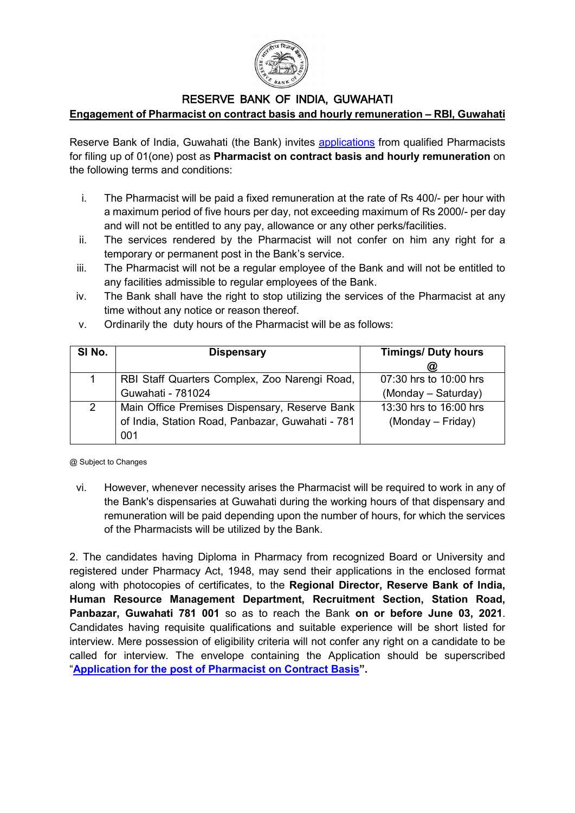

## RESERVE BANK OF INDIA, GUWAHATI

**Engagement of Pharmacist on contract basis and hourly remuneration – RBI, Guwahati**

Reserve Bank of India, Guwahati (the Bank) invites applications from qualified Pharmacists for filing up of 01(one) post as **Pharmacist on contract basis and hourly remuneration** on the following terms and conditions:

- i. The Pharmacist will be paid a fixed remuneration at the rate of Rs 400/- per hour with a maximum period of five hours per day, not exceeding maximum of Rs 2000/- per day and will not be entitled to any pay, allowance or any other perks/facilities.
- ii. The services rendered by the Pharmacist will not confer on him any right for a temporary or permanent post in the Bank's service.
- iii. The Pharmacist will not be a regular employee of the Bank and will not be entitled to any facilities admissible to regular employees of the Bank.
- iv. The Bank shall have the right to stop utilizing the services of the Pharmacist at any time without any notice or reason thereof.

| SI No. | <b>Dispensary</b>                                | <b>Timings/ Duty hours</b> |
|--------|--------------------------------------------------|----------------------------|
|        |                                                  | ω                          |
|        | RBI Staff Quarters Complex, Zoo Narengi Road,    | 07:30 hrs to 10:00 hrs     |
|        | Guwahati - 781024                                | (Monday – Saturday)        |
| 2      | Main Office Premises Dispensary, Reserve Bank    | 13:30 hrs to 16:00 hrs     |
|        | of India, Station Road, Panbazar, Guwahati - 781 | (Monday – Friday)          |
|        | 001                                              |                            |

v. Ordinarily the duty hours of the Pharmacist will be as follows:

@ Subject to Changes

vi. However, whenever necessity arises the Pharmacist will be required to work in any of the Bank's dispensaries at Guwahati during the working hours of that dispensary and remuneration will be paid depending upon the number of hours, for which the services of the Pharmacists will be utilized by the Bank.

2. The candidates having Diploma in Pharmacy from recognized Board or University and registered under Pharmacy Act, 1948, may send their applications in the enclosed format along with photocopies of certificates, to the **Regional Director, Reserve Bank of India, Human Resource Management Department, Recruitment Section, Station Road, Panbazar, Guwahati 781 001** so as to reach the Bank **on or before June 03, 2021**. Candidates having requisite qualifications and suitable experience will be short listed for interview. Mere possession of eligibility criteria will not confer any right on a candidate to be called for interview. The envelope containing the Application should be superscribed "**Application for the post of Pharmacist on Contract Basis".**